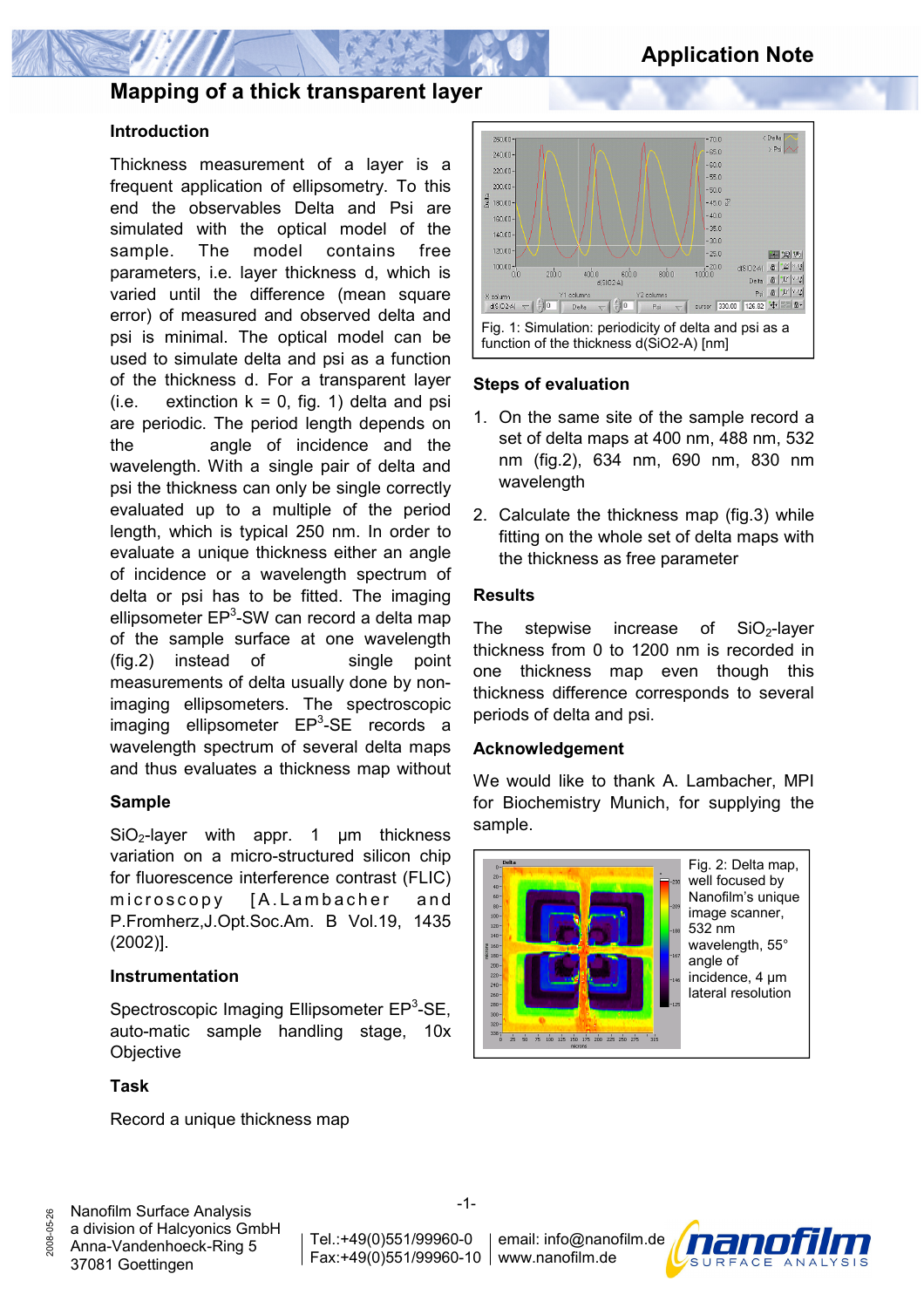

# **Mapping of a thick transparent layer**

# **Introduction**

Thickness measurement of a layer is a frequent application of ellipsometry. To this end the observables Delta and Psi are simulated with the optical model of the sample. The model contains free parameters, i.e. layer thickness d, which is varied until the difference (mean square error) of measured and observed delta and psi is minimal. The optical model can be used to simulate delta and psi as a function of the thickness d. For a transparent layer (i.e. extinction  $k = 0$ , fig. 1) delta and psi are periodic. The period length depends on the angle of incidence and the wavelength. With a single pair of delta and psi the thickness can only be single correctly evaluated up to a multiple of the period length, which is typical 250 nm. In order to evaluate a unique thickness either an angle of incidence or a wavelength spectrum of delta or psi has to be fitted. The imaging ellipsometer EP<sup>3</sup>-SW can record a delta map of the sample surface at one wavelength (fig.2) instead of single point measurements of delta usually done by nonimaging ellipsometers. The spectroscopic imaging ellipsometer EP<sup>3</sup>-SE records a wavelength spectrum of several delta maps and thus evaluates a thickness map without

# **Sample**

 $SiO<sub>2</sub>$ -layer with appr. 1  $\mu$ m thickness variation on a micro-structured silicon chip for fluorescence interference contrast (FLIC) microscopy [A.Lambacher and P.Fromherz,J.Opt.Soc.Am. B Vol.19, 1435 (2002)].

#### **Instrumentation**

Spectroscopic Imaging Ellipsometer EP<sup>3</sup>-SE, auto-matic sample handling stage, 10x **Objective** 

# **Task**

2008-05-26

Record a unique thickness map



## **Steps of evaluation**

- 1. On the same site of the sample record a set of delta maps at 400 nm, 488 nm, 532 nm (fig.2), 634 nm, 690 nm, 830 nm wavelength
- 2. Calculate the thickness map (fig.3) while fitting on the whole set of delta maps with the thickness as free parameter

## **Results**

The stepwise increase of  $SiO<sub>2</sub>$ -layer thickness from 0 to 1200 nm is recorded in one thickness map even though this thickness difference corresponds to several periods of delta and psi.

#### **Acknowledgement**

We would like to thank A. Lambacher, MPI for Biochemistry Munich, for supplying the sample.